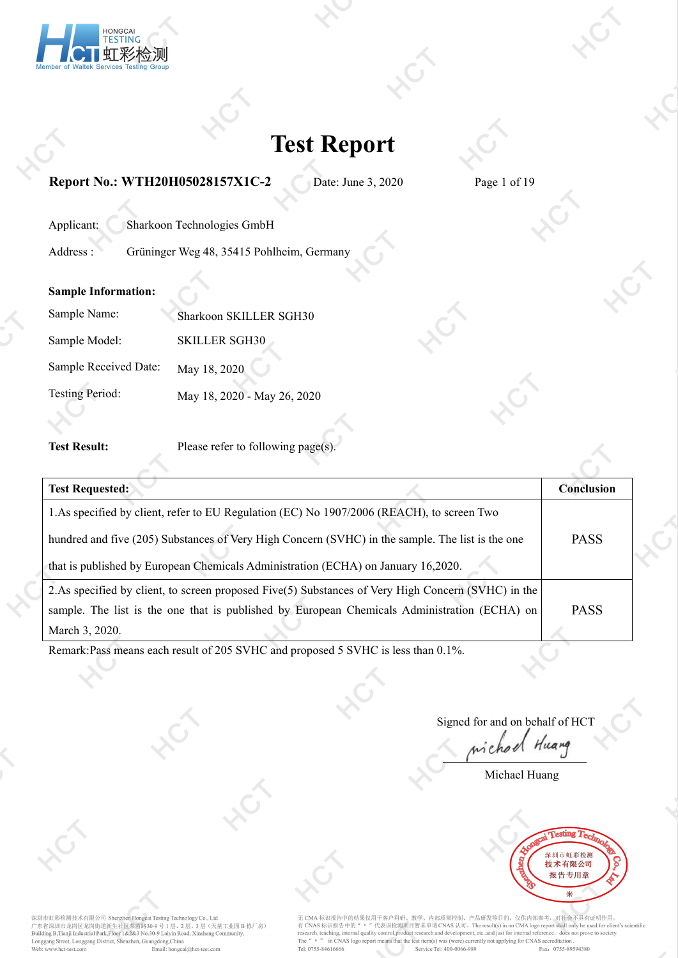

**Report No.: WTH20H05028157X1C-2** Date: June 3, 2020 Page 1 of 19

| Applicant: | Sharkoon Technologies GmbH                |  |
|------------|-------------------------------------------|--|
| Address :  | Grüninger Weg 48, 35415 Pohlheim, Germany |  |

### **Sample Information:**

| Sample Name:           | Sharkoon SKILLER SGH30      |  |
|------------------------|-----------------------------|--|
| Sample Model:          | <b>SKILLER SGH30</b>        |  |
| Sample Received Date:  | May 18, 2020                |  |
| <b>Testing Period:</b> | May 18, 2020 - May 26, 2020 |  |

**Test Result:** Please refer to following page(s).

| <b>Test Requested:</b>                                                                                | <b>Conclusion</b> |  |
|-------------------------------------------------------------------------------------------------------|-------------------|--|
| 1. As specified by client, refer to EU Regulation (EC) No 1907/2006 (REACH), to screen Two            |                   |  |
| hundred and five (205) Substances of Very High Concern (SVHC) in the sample. The list is the one      | <b>PASS</b>       |  |
| that is published by European Chemicals Administration (ECHA) on January 16,2020.                     |                   |  |
| 2. As specified by client, to screen proposed $Five(5)$ Substances of Very High Concern (SVHC) in the |                   |  |
| sample. The list is the one that is published by European Chemicals Administration (ECHA) on          | <b>PASS</b>       |  |
| March 3, 2020.                                                                                        |                   |  |
|                                                                                                       |                   |  |

Remark:Pass means each result of 205 SVHC and proposed 5 SVHC is less than 0.1%.

Signed for and on behalf of HCT

Huang

Michael Huang



深圳市虹彩检测技术有限公司 Shenzhen Hongcai Testing Technology Co., Ltd<br>广东省深圳市龙岗区龙岗街道新生社区茉茵路30-9 号 1 层、2 层、3 层(天基工业园 B 栋厂房)<br>Building B,Tianji Industrial Park,Floor 1&2&3 No.30-9 Laiyin Road, Xinsheng Community, Longgang Street, Longgang District, Shenzhen, Guangdong, China<br>
Web: www.hct-test.com Email: hongcai Email: hongcai@hct-test.com

无 CMA 标识报告中的结果仅用于客户科研、教学、内部质量控制、产品研发等目的,仅供内部参考,对社会不具有证明作用。<br>有 CNAS 标识报告中的" = "代表该检测项目暂未申请 CNAS 认可。The result(s) in no CMA logo report shall only be used for client's scientific<br>research, teaching, internal quality control, The "n "n CNAS logo report means that the test item(s) was (were) currently not applying for CNAS accreditation Tel: 0755-84616666 Service Tel: 400-0066-989 Fax: 0755-895 Fax: 0755-89594380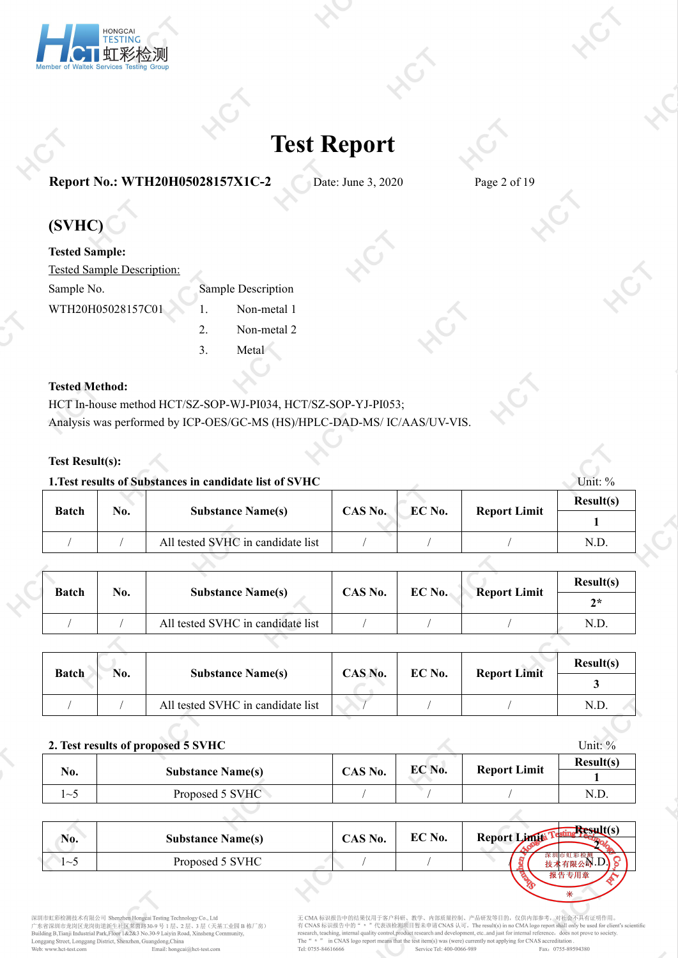

### **Report No.: WTH20H05028157X1C-2** Date: June 3, 2020 Page 2 of 19

### **(SVHC)**

| <b>Tested Sample:</b>      |   |                    |  |
|----------------------------|---|--------------------|--|
| Tested Sample Description: |   |                    |  |
| Sample No.                 |   | Sample Description |  |
| WTH20H05028157C01          |   | Non-metal 1        |  |
|                            | 2 | Non-metal 2        |  |
|                            |   | Metal              |  |

### **Tested Method:**

HCT In-house method HCT/SZ-SOP-WJ-PI034, HCT/SZ-SOP-YJ-PI053; Analysis was performed by ICP-OES/GC-MS (HS)/HPLC-DAD-MS/ IC/AAS/UV-VIS.

### **Test Result(s):**

### **1. Test results of Substances in candidate list of SVHC** Unit: % Unit: %

| <b>Batch</b> | No. | <b>Substance Name(s)</b>          | CAS No. | EC No. | <b>Report Limit</b> | Result(s) |  |
|--------------|-----|-----------------------------------|---------|--------|---------------------|-----------|--|
|              |     |                                   |         |        |                     |           |  |
|              |     | All tested SVHC in candidate list |         |        |                     | N.D       |  |

| $2*$<br>All tested SVHC in candidate list<br>N.D. | <b>Batch</b> | No. | <b>Substance Name(s)</b> | CAS No. | EC No. | <b>Report Limit</b> | Result(s) |
|---------------------------------------------------|--------------|-----|--------------------------|---------|--------|---------------------|-----------|
|                                                   |              |     |                          |         |        |                     |           |
|                                                   |              |     |                          |         |        |                     |           |

| <b>Batch</b> | No. | <b>Substance Name(s)</b>          | CAS No. | EC No. |                     | Result(s) |
|--------------|-----|-----------------------------------|---------|--------|---------------------|-----------|
|              |     |                                   |         |        | <b>Report Limit</b> |           |
|              |     | All tested SVHC in candidate list |         |        |                     | N.D.      |

|     | 2. Test results of proposed 5 SVHC |         |        |                     | Unit: $\%$ |
|-----|------------------------------------|---------|--------|---------------------|------------|
|     |                                    |         | EC No. | <b>Report Limit</b> | Result(s)  |
| No. | <b>Substance Name(s)</b>           | CAS No. |        |                     |            |
| ા∼ા | Proposed 5 SVHC                    |         |        |                     | N.D        |
|     |                                    |         |        |                     |            |

| No.    | <b>Substance Name(s)</b> | CAS No. | EC No. | $Result(s)$<br>Report Limits |
|--------|--------------------------|---------|--------|------------------------------|
| $\sim$ | Proposed 5 SVHC          |         |        |                              |
|        |                          |         |        | 报告专用章                        |

深圳市虹彩检测技术有限公司 Shenzhen Hongcai Testing Technology Co., Ltd<br>广东省深圳市龙岗区龙岗街道新生社区茉茵路30-9 号 1 层、2 层、3 层(天基工业园 B 栋厂房)<br>Building B,Tianji Industrial Park,Floor 1&2&3 No.30-9 Laiyin Road, Xinsheng Community, Longgang Street, Longgang District, Shenzhen, Guangdong, China<br>Web: www.hct-test.com Email: hongca Email: hongcai@hct-test.com

无 CMA 标识报告中的结果仅用于客户科研、教学、内部质量控制、产品研发等目的, 仅供内部参考, 对社会不具有证明作用。 有 CNAS 标识报告中的 " n " 代表该检测项目暂未申请 CNAS 认可。The result(s) in no CMA logo report shall only be used for client's scientific<br>research, teaching, internal quality control, product research and development, etc..and just for int The "n "n CNAS logo report means that the test item(s) was (were) currently not applying for CNAS accreditation Tel: 0755-84616666 Service Tel: 400-0066-989 Fax: 0755-895 Fax: 0755-89594380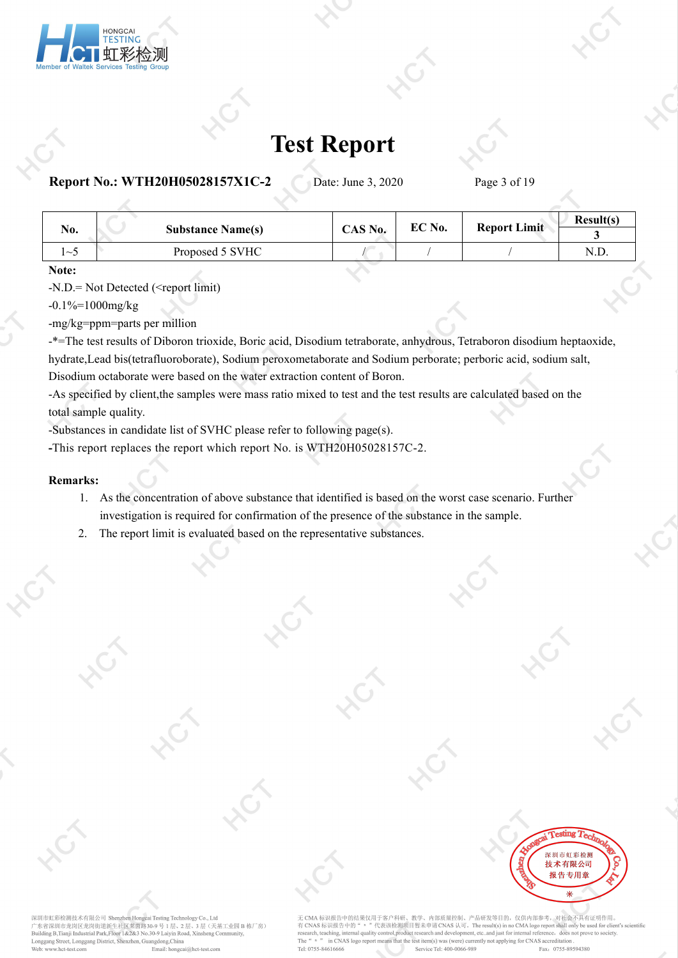

**Report No.: WTH20H05028157X1C-2** Date: June 3, 2020 Page 3 of 19

| No.          | <b>Substance Name(s)</b> | CAS No. | EC No. | <b>Report Limit</b> | Result(s) |
|--------------|--------------------------|---------|--------|---------------------|-----------|
| $1\sim$      | Proposed 5 SVHC          |         |        |                     | N.D.      |
| $\mathbf{M}$ |                          |         |        |                     |           |

**Note:**

-N.D.= Not Detected (<report limit)

 $-0.1\% = 1000$ mg/kg

-mg/kg=ppm=parts per million

-\*=The test results of Diboron trioxide, Boric acid, Disodium tetraborate, anhydrous, Tetraboron disodium heptaoxide, hydrate,Lead bis(tetrafluoroborate), Sodium peroxometaborate and Sodium perborate; perboric acid, sodium salt, Disodium octaborate were based on the water extraction content of Boron.

-As specified by client,the samples were mass ratio mixed to test and the test results are calculated based on the total sample quality.

-Substances in candidate list of SVHC please referto following page(s).

**-**This report replaces the report which report No. is WTH20H05028157C-2.

#### **Remarks:**

- 1. As the concentration of above substance that identified is based on the worst case scenario. Further investigation is required for confirmation of the presence of the substance in the sample.
- 2. The report limit is evaluated based on the representative substances.

深圳市虹彩检测技术有限公司 Shenzhen Hongcai Testing Technology Co., Ltd er Seam 市龙岗区龙岗街道新生社区莱茵路30-9号1层、2层、3层(天基工业园 B<br>Building B,Tianji Industrial Park,Floor 1&2&3 No.30-9 Lills、2层、3层(天基工业园 B 。<br>3 层(天基工业园 B 栋厂房) Longgang Street, Longgang District, Shenzhen, Guangdong, China Web: www.hct-test.com Email: hongcai@hct-test.com

无 CMA 标识报告中的结果仅用于客户科研、教学、内部质量控制、产品研发等目的, 仅供内部参考, 对社会不具有证明作用. 有 CNAS 标识报告中的 " n " 代表该检测项目 暂未申请 CNAS 认可。The result(s) in no CMA logo report shall only be used for client's scientific<br>research, teaching, internal quality control, product research and development, etc..and just for in The  $\frac{u}{n}$  n  $\frac{m}{n}$ in CNAS logo report means that the test item(s) was (were) currently not applying for CNAS accreditation Tel: 0755-84616666 Fax: 0755-89594380 Service Tel: 400-0066-989

**Testing Ta** 深圳市虹彩检测 技术有限公司 报告专用章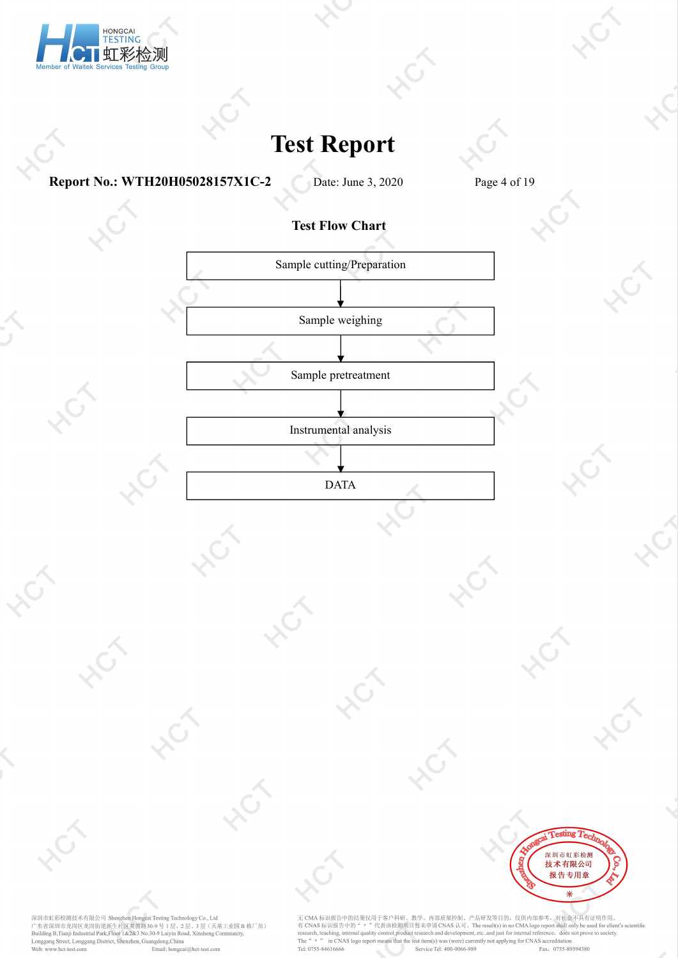

**Report No.: WTH20H05028157X1C-2** Date: June 3, 2020 Page 4 of 19

 $\hat{C}$ 

r<br>Ti

### **Test Flow Chart**



DATA

**Testing Tech** 深圳市虹彩检测 技术有限公司 报告专用章 来

深圳市虹彩检测技术有限公司 Shenzhen Hongcai Testing Technology Co., Ltd<br>广东省深圳市龙岗区龙岗街道新生社区莱茵路30-9 号 1 层、2 层、3 层(天基工业园 B 栋厂房)<br>Building B,Tianji Industrial Park,Floor 1&2&3 No.30-9 Laiyin Road, Xinsheng Community,<br>Longgang Street, Longga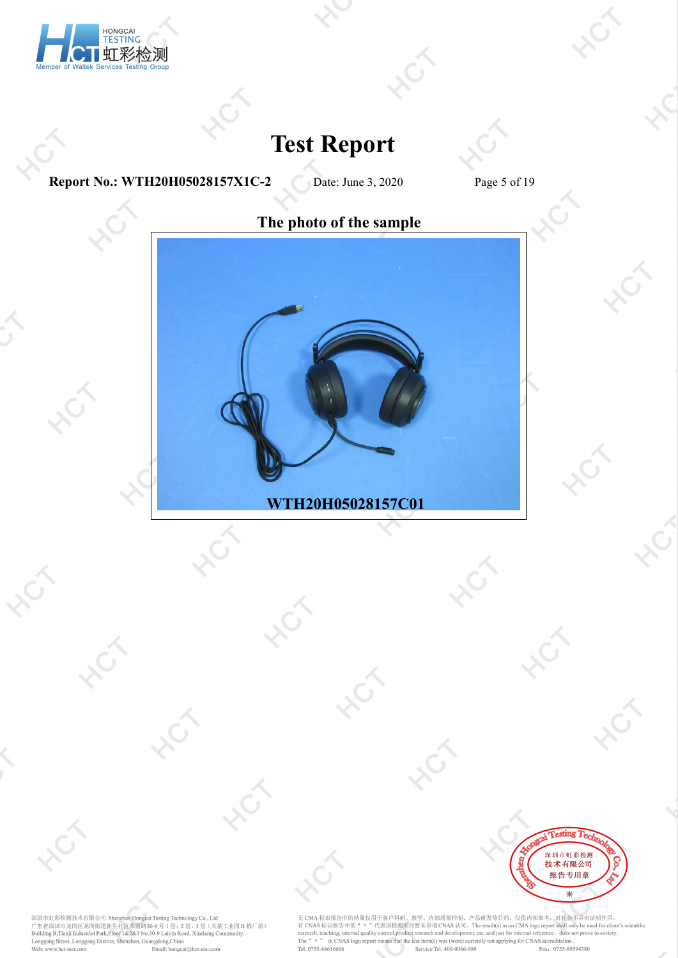

**Report No.: WTH20H05028157X1C-2** Date: June 3, 2020 Page 5 of 19

 $\hat{\mathcal{S}}$ 

 $\hat{\mathbb{S}}$ 



深圳市虹彩检测技术有限公司 Shenzhen Hongcai Testing Technology Co., Ltd<br>广东省深圳市龙岗区龙岗街道新生社区莱茵路30-9 号 1 层、2 层、3 层(天基工业园 B 栋厂房)<br>Building B,Tianji Industrial Park,Floor 1&2&3 No.30-9 Laiyin Road, Xinsheng Community,<br>Longgang Street, Longga

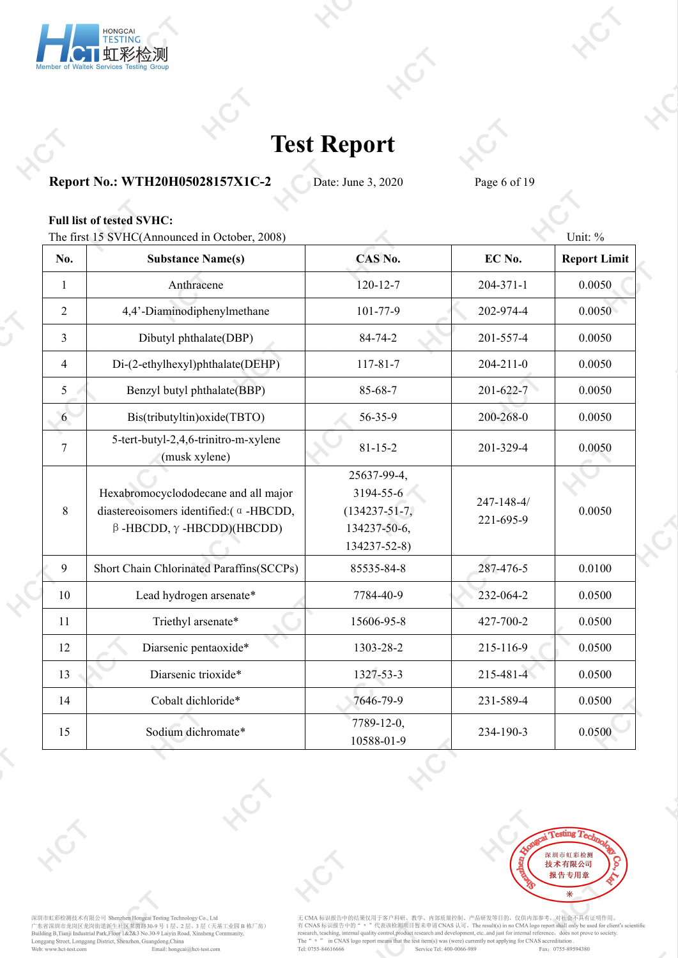

### **Report No.: WTH20H05028157X1C-2** Date: June 3, 2020 Page 6 of 19

### **Full list of tested SVHC:**

The first 15 SVHC(Announced in October, 2008) Unit: % Unit: %

| No.            | <b>Substance Name(s)</b>                                                                                                   | CAS No.                                                                         | EC No.                  | <b>Report Limit</b> |
|----------------|----------------------------------------------------------------------------------------------------------------------------|---------------------------------------------------------------------------------|-------------------------|---------------------|
| $\mathbf{1}$   | Anthracene                                                                                                                 | $120 - 12 - 7$                                                                  | 204-371-1               | 0.0050              |
| $\overline{2}$ | 4,4'-Diaminodiphenylmethane                                                                                                | 101-77-9                                                                        | 202-974-4               | 0.0050              |
| $\overline{3}$ | Dibutyl phthalate(DBP)                                                                                                     | 84-74-2                                                                         | 201-557-4               | 0.0050              |
| $\overline{4}$ | Di-(2-ethylhexyl)phthalate(DEHP)                                                                                           | $117 - 81 - 7$                                                                  | $204 - 211 - 0$         | 0.0050              |
| 5 <sup>5</sup> | Benzyl butyl phthalate(BBP)                                                                                                | 85-68-7                                                                         | 201-622-7               | 0.0050              |
| 6              | Bis(tributyltin) oxide(TBTO)                                                                                               | 56-35-9                                                                         | 200-268-0               | 0.0050              |
| $\tau$         | 5-tert-butyl-2,4,6-trinitro-m-xylene<br>(musk xylene)                                                                      | $81 - 15 - 2$                                                                   | 201-329-4               | 0.0050              |
| 8              | Hexabromocyclododecane and all major<br>diastereoisomers identified: (a -HBCDD,<br>$\beta$ -HBCDD, $\gamma$ -HBCDD)(HBCDD) | 25637-99-4,<br>3194-55-6<br>$(134237 - 51 - 7)$<br>134237-50-6,<br>134237-52-8) | 247-148-4/<br>221-695-9 | 0.0050              |
| 9              | Short Chain Chlorinated Paraffins(SCCPs)                                                                                   | 85535-84-8                                                                      | 287-476-5               | 0.0100              |
| 10             | Lead hydrogen arsenate*                                                                                                    | 7784-40-9                                                                       | 232-064-2               | 0.0500              |
| 11             | Triethyl arsenate*                                                                                                         | 15606-95-8                                                                      | 427-700-2               | 0.0500              |
| 12             | Diarsenic pentaoxide*                                                                                                      | 1303-28-2                                                                       | 215-116-9               | 0.0500              |
| 13             | Diarsenic trioxide*                                                                                                        | 1327-53-3                                                                       | 215-481-4               | 0.0500              |
| 14             | Cobalt dichloride*                                                                                                         | 7646-79-9                                                                       | 231-589-4               | 0.0500              |
| 15             | Sodium dichromate*                                                                                                         | 7789-12-0,<br>10588-01-9                                                        | 234-190-3               | 0.0500              |



深圳市虹彩检测技术有限公司 Shenzhen Hongcai Testing Technology Co., Ltd<br>广东省深圳市龙岗区龙岗街道新生社区莱茵路30-9 号 1 层、2 层、3 层(天基工业园 B 栋厂房)<br>Building B,Tianji Industrial Park,Floor 1&2&3 No.30-9 Laiyin Road, Xinsheng Community,<br>Longgang Street, Longga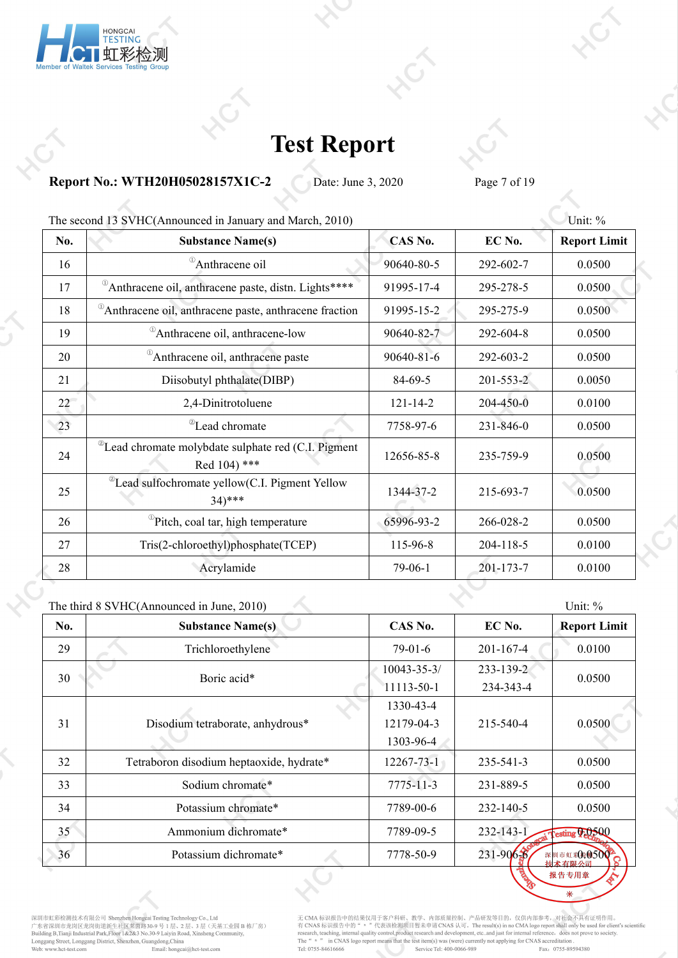

**Report No.: WTH20H05028157X1C-2** Date: June 3, 2020 Page 7 of 19

| The second 13 SVHC(Announced in January and March, 2010) |                                                                                    |                |                 |                     |  |
|----------------------------------------------------------|------------------------------------------------------------------------------------|----------------|-----------------|---------------------|--|
| No.                                                      | <b>Substance Name(s)</b>                                                           | CAS No.        | EC No.          | <b>Report Limit</b> |  |
| 16                                                       | <sup>1</sup> Anthracene oil                                                        | 90640-80-5     | 292-602-7       | 0.0500              |  |
| 17                                                       | <sup>0</sup> Anthracene oil, anthracene paste, distn. Lights****                   | 91995-17-4     | 295-278-5       | 0.0500              |  |
| 18                                                       | Anthracene oil, anthracene paste, anthracene fraction                              | 91995-15-2     | 295-275-9       | 0.0500              |  |
| 19                                                       | <sup>1</sup> Anthracene oil, anthracene-low                                        | 90640-82-7     | 292-604-8       | 0.0500              |  |
| 20                                                       | <sup>0</sup> Anthracene oil, anthracene paste                                      | 90640-81-6     | 292-603-2       | 0.0500              |  |
| 21                                                       | Diisobutyl phthalate(DIBP)                                                         | 84-69-5        | $201 - 553 - 2$ | 0.0050              |  |
| 22                                                       | 2,4-Dinitrotoluene                                                                 | $121 - 14 - 2$ | 204-450-0       | 0.0100              |  |
| 23                                                       | <sup>2</sup> Lead chromate                                                         | 7758-97-6      | 231-846-0       | 0.0500              |  |
| 24                                                       | <sup>2</sup> Lead chromate molybdate sulphate red (C.I. Pigment<br>Red $104$ ) *** | 12656-85-8     | 235-759-9       | 0.0500              |  |
| 25                                                       | <sup>2</sup> Lead sulfochromate yellow(C.I. Pigment Yellow<br>$34)***$             | 1344-37-2      | 215-693-7       | 0.0500              |  |
| 26                                                       | <sup>1</sup> Pitch, coal tar, high temperature                                     | 65996-93-2     | 266-028-2       | 0.0500              |  |
| 27                                                       | Tris(2-chloroethyl)phosphate(TCEP)                                                 | 115-96-8       | 204-118-5       | 0.0100              |  |
| 28                                                       | Acrylamide                                                                         | $79-06-1$      | 201-173-7       | 0.0100              |  |

|     | The third 8 SVHC(Announced in June, 2010) |                 |                 | Unit: %                               |
|-----|-------------------------------------------|-----------------|-----------------|---------------------------------------|
| No. | <b>Substance Name(s)</b>                  | CAS No.         | EC No.          | <b>Report Limit</b>                   |
| 29  | Trichloroethylene                         | $79-01-6$       | $201 - 167 - 4$ | 0.0100                                |
| 30  | Boric acid*                               | 10043-35-3/     | 233-139-2       | 0.0500                                |
|     |                                           | 11113-50-1      | 234-343-4       |                                       |
|     |                                           | 1330-43-4       |                 |                                       |
| 31  | Disodium tetraborate, anhydrous*          | 12179-04-3      | 215-540-4       | 0.0500                                |
|     |                                           | 1303-96-4       |                 |                                       |
| 32  | Tetraboron disodium heptaoxide, hydrate*  | 12267-73-1      | 235-541-3       | 0.0500                                |
| 33  | Sodium chromate*                          | $7775 - 11 - 3$ | 231-889-5       | 0.0500                                |
| 34  | Potassium chromate*                       | 7789-00-6       | $232 - 140 - 5$ | 0.0500                                |
| 35  | Ammonium dichromate*                      | 7789-09-5       | 232-143-1       | esting 0-0500                         |
| 36  | Potassium dichromate*                     | 7778-50-9       | $231 - 906 - 6$ | 深 <mark>圳市虹彩A0500<sup>2</sup>C</mark> |
|     |                                           |                 |                 | 据生去田音                                 |

深圳市虹彩检测技术有限公司 Shenzhen Hongcai Testing Technology Co., Ltd<br>广东省深圳市龙岗区龙岗街道新生社区莱茵路30-9 号 1 层、2 层、3 层(天基工业园 B 栋厂房)<br>Building B,Tianji Industrial Park,Floor 1&2&3 No.30-9 Laiyin Road, Xinsheng Community,<br>Longgang Street, Longga

无 CMA 标识报告中的结果仅用于客户科研、教学、内部质量控制、产品研发等目的,仅供内部参考,对社会不具有证明作用。<br>有 CNAS 标识报告中的" = "代表该检测项目暂未申请 CNAS 认可。The result(s) in no CMA logo report shall only be used for client's scientific<br>research, teaching, internal quality control

 $\ast$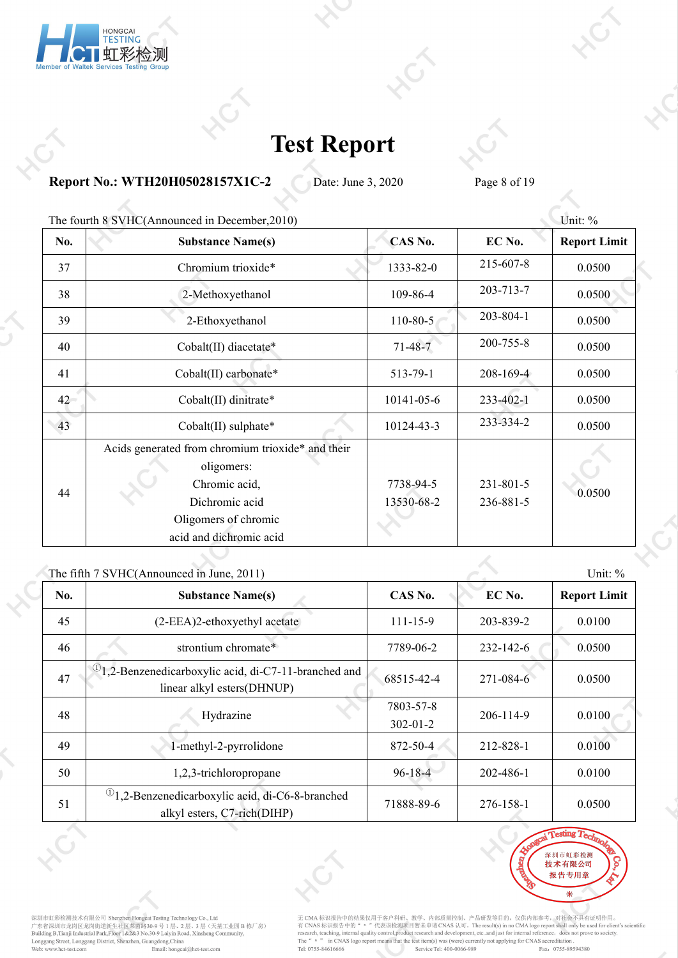

**Report No.: WTH20H05028157X1C-2** Date: June 3, 2020 Page 8 of 19

| The fourth 8 SVHC(Announced in December, 2010)                                                                             |                         |                              |                     |         |
|----------------------------------------------------------------------------------------------------------------------------|-------------------------|------------------------------|---------------------|---------|
| <b>Substance Name(s)</b>                                                                                                   | CAS No.                 | EC No.                       | <b>Report Limit</b> |         |
| Chromium trioxide*                                                                                                         | 1333-82-0               | 215-607-8                    | 0.0500              |         |
| 2-Methoxyethanol                                                                                                           | 109-86-4                | 203-713-7                    | 0.0500              |         |
| 2-Ethoxyethanol                                                                                                            | $110 - 80 - 5$          | 203-804-1                    | 0.0500              |         |
| Cobalt(II) diacetate*                                                                                                      | $71 - 48 - 7$           | 200-755-8                    | 0.0500              |         |
| Cobalt(II) carbonate*                                                                                                      | 513-79-1                | $208 - 169 - 4$              | 0.0500              |         |
| Cobalt(II) dinitrate*                                                                                                      | 10141-05-6              | 233-402-1                    | 0.0500              |         |
| Cobalt(II) sulphate*                                                                                                       | 10124-43-3              | 233-334-2                    | 0.0500              |         |
| Acids generated from chromium trioxide* and their<br>oligomers:<br>Chromic acid,<br>Dichromic acid<br>Oligomers of chromic | 7738-94-5<br>13530-68-2 | $231 - 801 - 5$<br>236-881-5 | 0.0500              |         |
|                                                                                                                            | acid and dichromic acid |                              |                     | Unit: % |

#### The fifth  $7$  SVHC(Announced in June,  $2011$ ) Unit:  $\%$

|     | THE THEFT $\beta$ vite (Allounced in June, 2011)                                                 |                             |           | UIIIL.70            |
|-----|--------------------------------------------------------------------------------------------------|-----------------------------|-----------|---------------------|
| No. | <b>Substance Name(s)</b>                                                                         | CAS No.                     | EC No.    | <b>Report Limit</b> |
| 45  | (2-EEA)2-ethoxyethyl acetate                                                                     | $111 - 15 - 9$              | 203-839-2 | 0.0100              |
| 46  | strontium chromate*                                                                              | 7789-06-2                   | 232-142-6 | 0.0500              |
| 47  | <sup>(1)</sup> 1,2-Benzenedicarboxylic acid, di-C7-11-branched and<br>linear alkyl esters(DHNUP) | 68515-42-4                  | 271-084-6 | 0.0500              |
| 48  | Hydrazine                                                                                        | 7803-57-8<br>$302 - 01 - 2$ | 206-114-9 | 0.0100              |
| 49  | 1-methyl-2-pyrrolidone                                                                           | 872-50-4                    | 212-828-1 | 0.0100              |
| 50  | 1,2,3-trichloropropane                                                                           | $96 - 18 - 4$               | 202-486-1 | 0.0100              |
| 51  | $①$ 1,2-Benzenedicarboxylic acid, di-C6-8-branched<br>alkyl esters, C7-rich(DIHP)                | 71888-89-6                  | 276-158-1 | 0.0500              |





深圳市虹彩检测技术有限公司 Shenzhen Hongcai Testing Technology Co., Ltd<br>广东省深圳市龙岗区龙岗街道新生社区莱茵路30-9 号 1 层、2 层、3 层(天基工业园 B 栋厂房)<br>Building B,Tianji Industrial Park,Floor 1&2&3 No.30-9 Laiyin Road, Xinsheng Community,<br>Longgang Street, Longga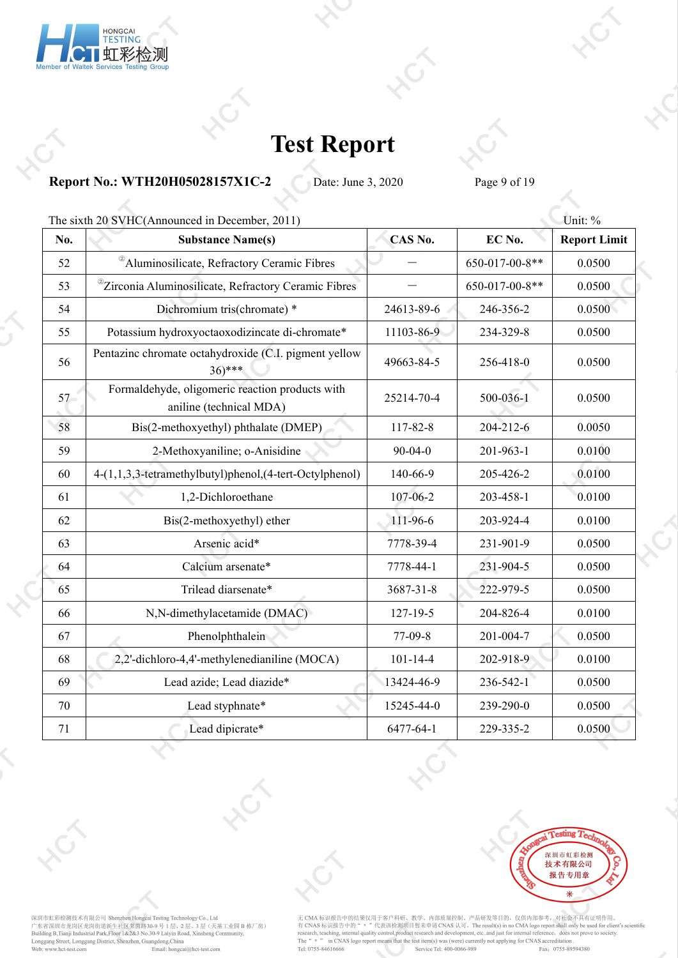

**Report No.: WTH20H05028157X1C-2** Date: June 3, 2020 Page 9 of 19

|     | The sixth 20 SVHC(Announced in December, 2011)                               |                |                | Unit: %             |
|-----|------------------------------------------------------------------------------|----------------|----------------|---------------------|
| No. | <b>Substance Name(s)</b>                                                     | CAS No.        | EC No.         | <b>Report Limit</b> |
| 52  | <sup>2</sup> Aluminosilicate, Refractory Ceramic Fibres                      |                | 650-017-00-8** | 0.0500              |
| 53  | <sup>@</sup> Zirconia Aluminosilicate, Refractory Ceramic Fibres             |                | 650-017-00-8** | 0.0500              |
| 54  | Dichromium tris(chromate) *                                                  | 24613-89-6     | 246-356-2      | 0.0500              |
| 55  | Potassium hydroxyoctaoxodizincate di-chromate*                               | 11103-86-9     | 234-329-8      | 0.0500              |
| 56  | Pentazinc chromate octahydroxide (C.I. pigment yellow<br>$36$ <sup>***</sup> | 49663-84-5     | 256-418-0      | 0.0500              |
| 57  | Formaldehyde, oligomeric reaction products with<br>aniline (technical MDA)   | 25214-70-4     | 500-036-1      | 0.0500              |
| 58  | Bis(2-methoxyethyl) phthalate (DMEP)                                         | 117-82-8       | 204-212-6      | 0.0050              |
| 59  | 2-Methoxyaniline; o-Anisidine                                                | $90 - 04 - 0$  | 201-963-1      | 0.0100              |
| 60  | 4-(1,1,3,3-tetramethylbutyl)phenol,(4-tert-Octylphenol)                      | 140-66-9       | 205-426-2      | 0.0100              |
| 61  | 1,2-Dichloroethane                                                           | 107-06-2       | 203-458-1      | 0.0100              |
| 62  | Bis(2-methoxyethyl) ether                                                    | 111-96-6       | 203-924-4      | 0.0100              |
| 63  | Arsenic acid*                                                                | 7778-39-4      | 231-901-9      | 0.0500              |
| 64  | Calcium arsenate*                                                            | 7778-44-1      | 231-904-5      | 0.0500              |
| 65  | Trilead diarsenate*                                                          | 3687-31-8      | 222-979-5      | 0.0500              |
| 66  | N,N-dimethylacetamide (DMAC)                                                 | $127 - 19 - 5$ | 204-826-4      | 0.0100              |
| 67  | Phenolphthalein                                                              | 77-09-8        | 201-004-7      | 0.0500              |
| 68  | 2,2'-dichloro-4,4'-methylenedianiline (MOCA)                                 | $101 - 14 - 4$ | 202-918-9      | 0.0100              |
| 69  | Lead azide; Lead diazide*                                                    | 13424-46-9     | 236-542-1      | 0.0500              |
| 70  | Lead styphnate*                                                              | 15245-44-0     | 239-290-0      | 0.0500              |
| 71  | Lead dipicrate*                                                              | 6477-64-1      | 229-335-2      | 0.0500              |
|     |                                                                              |                |                |                     |



深圳市虹彩检测技术有限公司 Shenzhen Hongcai Testing Technology Co., Ltd<br>广东省深圳市龙岗区龙岗街道新生社区莱茵路30-9 号 1 层、2 层、3 层(天基工业园 B 栋厂房)<br>Building B,Tianji Industrial Park,Floor 1&2&3 No.30-9 Laiyin Road, Xinsheng Community,<br>Longgang Street, Longga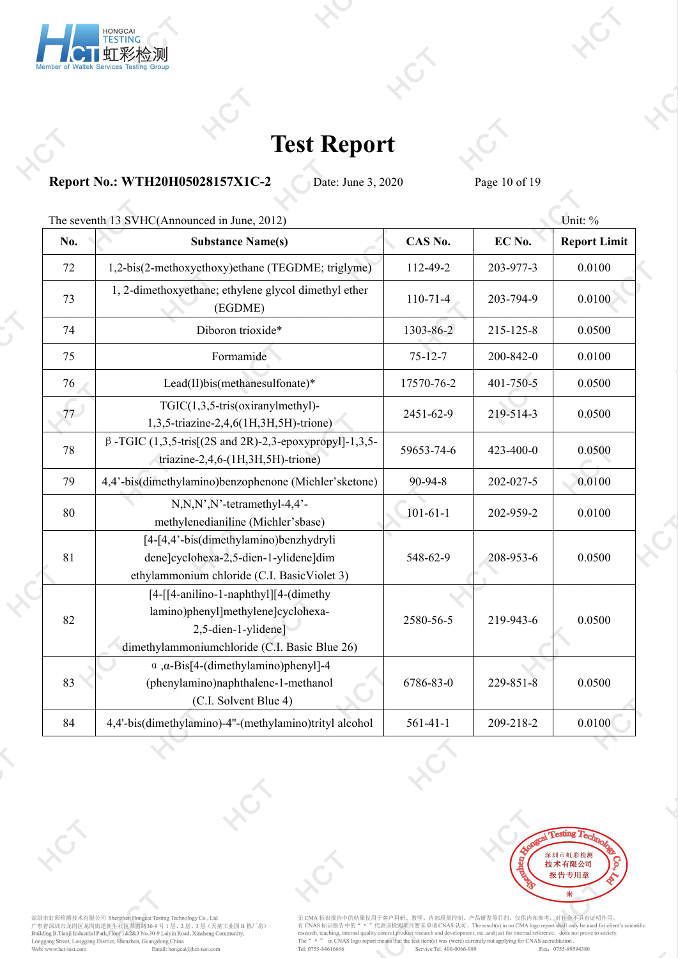

**Report No.: WTH20H05028157X1C-2** Date: June 3, 2020 Page 10 of 19

|     | The seventh 13 SVHC(Announced in June, 2012)                                                                                                        |                |                 | Unit: %             |
|-----|-----------------------------------------------------------------------------------------------------------------------------------------------------|----------------|-----------------|---------------------|
| No. | <b>Substance Name(s)</b>                                                                                                                            | CAS No.        | EC No.          | <b>Report Limit</b> |
| 72  | 1,2-bis(2-methoxyethoxy)ethane (TEGDME; triglyme)                                                                                                   | 112-49-2       | 203-977-3       | 0.0100              |
| 73  | 1, 2-dimethoxyethane; ethylene glycol dimethyl ether<br>(EGDME)                                                                                     | $110 - 71 - 4$ | 203-794-9       | 0.0100              |
| 74  | Diboron trioxide*                                                                                                                                   | 1303-86-2      | 215-125-8       | 0.0500              |
| 75  | Formamide                                                                                                                                           | $75 - 12 - 7$  | 200-842-0       | 0.0100              |
| 76  | Lead(II)bis(methanesulfonate)*                                                                                                                      | 17570-76-2     | $401 - 750 - 5$ | 0.0500              |
| 77  | $TGIC(1,3,5-tris(oxiranylmethyl)$ -<br>1,3,5-triazine-2,4,6(1H,3H,5H)-trione)                                                                       | 2451-62-9      | 219-514-3       | 0.0500              |
| 78  | $\beta$ -TGIC (1,3,5-tris[(2S and 2R)-2,3-epoxypropyl]-1,3,5-<br>triazine-2,4,6- $(1H, 3H, 5H)$ -trione)                                            | 59653-74-6     | 423-400-0       | 0.0500              |
| 79  | 4,4'-bis(dimethylamino)benzophenone (Michler'sketone)                                                                                               | 90-94-8        | 202-027-5       | 0.0100              |
| 80  | $N, N, N', N'$ -tetramethyl-4,4'-<br>methylenedianiline (Michler'sbase)                                                                             | $101 - 61 - 1$ | 202-959-2       | 0.0100              |
| 81  | [4-[4,4'-bis(dimethylamino)benzhydryli<br>dene]cyclohexa-2,5-dien-1-ylidene]dim<br>ethylammonium chloride (C.I. BasicViolet 3)                      | 548-62-9       | 208-953-6       | 0.0500              |
| 82  | [4-[[4-anilino-1-naphthyl][4-(dimethy<br>lamino)phenyl]methylene]cyclohexa-<br>2,5-dien-1-ylidene]<br>dimethylammoniumchloride (C.I. Basic Blue 26) | 2580-56-5      | 219-943-6       | 0.0500              |
| 83  | $\alpha$ , $\alpha$ -Bis[4-(dimethylamino)phenyl]-4<br>(phenylamino)naphthalene-1-methanol<br>(C.I. Solvent Blue 4)                                 | 6786-83-0      | $229 - 851 - 8$ | 0.0500              |
| 84  | 4,4'-bis(dimethylamino)-4"-(methylamino)trityl alcohol                                                                                              | $561 - 41 - 1$ | 209-218-2       | 0.0100              |



深圳市虹彩检测技术有限公司 Shenzhen Hongcai Testing Technology Co., Ltd<br>广东省深圳市龙岗区龙岗街道新生社区莱茵路30-9 号 1 层、2 层、3 层(天基工业园 B 栋厂房)<br>Building B,Tianji Industrial Park,Floor 1&2&3 No.30-9 Laiyin Road, Xinsheng Community,<br>Longgang Street, Longga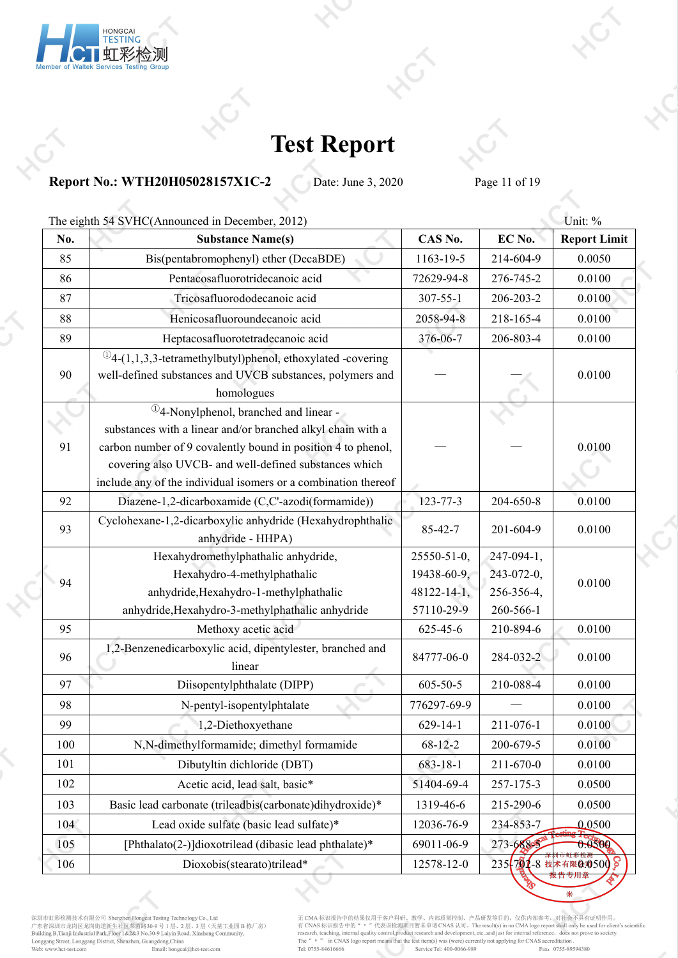

### **Report No.: WTH20H05028157X1C-2** Date: June 3, 2020 Page 11 of 19

|     | The eighth 54 SVHC(Announced in December, 2012)                                                                                                                                                                                                                                                                           |                    |                   | Unit: %                |
|-----|---------------------------------------------------------------------------------------------------------------------------------------------------------------------------------------------------------------------------------------------------------------------------------------------------------------------------|--------------------|-------------------|------------------------|
| No. | <b>Substance Name(s)</b>                                                                                                                                                                                                                                                                                                  | CAS No.            | EC No.            | <b>Report Limit</b>    |
| 85  | Bis(pentabromophenyl) ether (DecaBDE)                                                                                                                                                                                                                                                                                     | 1163-19-5          | 214-604-9         | 0.0050                 |
| 86  | Pentacosafluorotridecanoic acid                                                                                                                                                                                                                                                                                           | 72629-94-8         | 276-745-2         | 0.0100                 |
| 87  | Tricosafluorododecanoic acid                                                                                                                                                                                                                                                                                              | $307 - 55 - 1$     | 206-203-2         | 0.0100                 |
| 88  | Henicosafluoroundecanoic acid                                                                                                                                                                                                                                                                                             | 2058-94-8          | 218-165-4         | 0.0100                 |
| 89  | Heptacosafluorotetradecanoic acid                                                                                                                                                                                                                                                                                         | 376-06-7           | 206-803-4         | 0.0100                 |
| 90  | $\mathbb{Q}_4$ -(1,1,3,3-tetramethylbutyl)phenol, ethoxylated -covering<br>well-defined substances and UVCB substances, polymers and<br>homologues                                                                                                                                                                        |                    |                   | 0.0100                 |
| 91  | <sup>1</sup> / <sub>2</sub> -Nonylphenol, branched and linear -<br>substances with a linear and/or branched alkyl chain with a<br>carbon number of 9 covalently bound in position 4 to phenol,<br>covering also UVCB- and well-defined substances which<br>include any of the individual isomers or a combination thereof |                    |                   | 0.0100                 |
| 92  | Diazene-1,2-dicarboxamide (C,C'-azodi(formamide))                                                                                                                                                                                                                                                                         | $123 - 77 - 3$     | 204-650-8         | 0.0100                 |
| 93  | Cyclohexane-1,2-dicarboxylic anhydride (Hexahydrophthalic<br>anhydride - HHPA)                                                                                                                                                                                                                                            | 85-42-7            | 201-604-9         | 0.0100                 |
|     | Hexahydromethylphathalic anhydride,                                                                                                                                                                                                                                                                                       | 25550-51-0,        | $247-094-1$ ,     |                        |
| 94  | Hexahydro-4-methylphathalic                                                                                                                                                                                                                                                                                               | 19438-60-9,        | $243 - 072 - 0$ , |                        |
|     | anhydride, Hexahydro-1-methylphathalic                                                                                                                                                                                                                                                                                    | $48122 - 14 - 1$ , | 256-356-4,        | 0.0100                 |
|     | anhydride, Hexahydro-3-methylphathalic anhydride                                                                                                                                                                                                                                                                          | 57110-29-9         | 260-566-1         |                        |
| 95  | Methoxy acetic acid                                                                                                                                                                                                                                                                                                       | 625-45-6           | 210-894-6         | 0.0100                 |
| 96  | 1,2-Benzenedicarboxylic acid, dipentylester, branched and<br>linear                                                                                                                                                                                                                                                       | 84777-06-0         | 284-032-2         | 0.0100                 |
| 97  | Diisopentylphthalate (DIPP)                                                                                                                                                                                                                                                                                               | $605 - 50 - 5$     | 210-088-4         | 0.0100                 |
| 98  | N-pentyl-isopentylphtalate                                                                                                                                                                                                                                                                                                | 776297-69-9        |                   | 0.0100                 |
| 99  | 1,2-Diethoxyethane                                                                                                                                                                                                                                                                                                        | $629 - 14 - 1$     | 211-076-1         | 0.0100                 |
| 100 | N,N-dimethylformamide; dimethyl formamide                                                                                                                                                                                                                                                                                 | 68-12-2            | 200-679-5         | 0.0100                 |
| 101 | Dibutyltin dichloride (DBT)                                                                                                                                                                                                                                                                                               | 683-18-1           | 211-670-0         | 0.0100                 |
| 102 | Acetic acid, lead salt, basic*                                                                                                                                                                                                                                                                                            | 51404-69-4         | 257-175-3         | 0.0500                 |
| 103 | Basic lead carbonate (trileadbis(carbonate)dihydroxide)*                                                                                                                                                                                                                                                                  | 1319-46-6          | 215-290-6         | 0.0500                 |
| 104 | Lead oxide sulfate (basic lead sulfate)*                                                                                                                                                                                                                                                                                  | 12036-76-9         | 234-853-7         | 0.0500                 |
| 105 | [Phthalato(2-)]dioxotrilead (dibasic lead phthalate)*                                                                                                                                                                                                                                                                     | 69011-06-9         | 273-68805         | 0.0500                 |
| 106 | Dioxobis(stearato)trilead*                                                                                                                                                                                                                                                                                                | 12578-12-0         |                   | 235 794-8 技术有限6.0500 8 |
|     |                                                                                                                                                                                                                                                                                                                           |                    |                   |                        |

深圳市虹彩检测技术有限公司 Shenzhen Hongcai Testing Technology Co., Ltd<br>广东省深圳市龙岗区龙岗街道新生社区莱茵路30-9 号 1 层、2 层、3 层(天基工业园 B 栋厂房)<br>Building B,Tianji Industrial Park,Floor 1&2&3 No.30-9 Laiyin Road, Xinsheng Community,<br>Longgang Street, Longga

无 CMA 标识报告中的结果仅用于客户科研、教学、内部质量控制、产品研发等目的,仅供内部参考,对社会不具有证明作用。<br>有 CNAS 标识报告中的" = "代表该检测项目暂未申请 CNAS 认可。The result(s) in no CMA logo report shall only be used for client's scientific<br>research, teaching, internal quality control

 $\ast$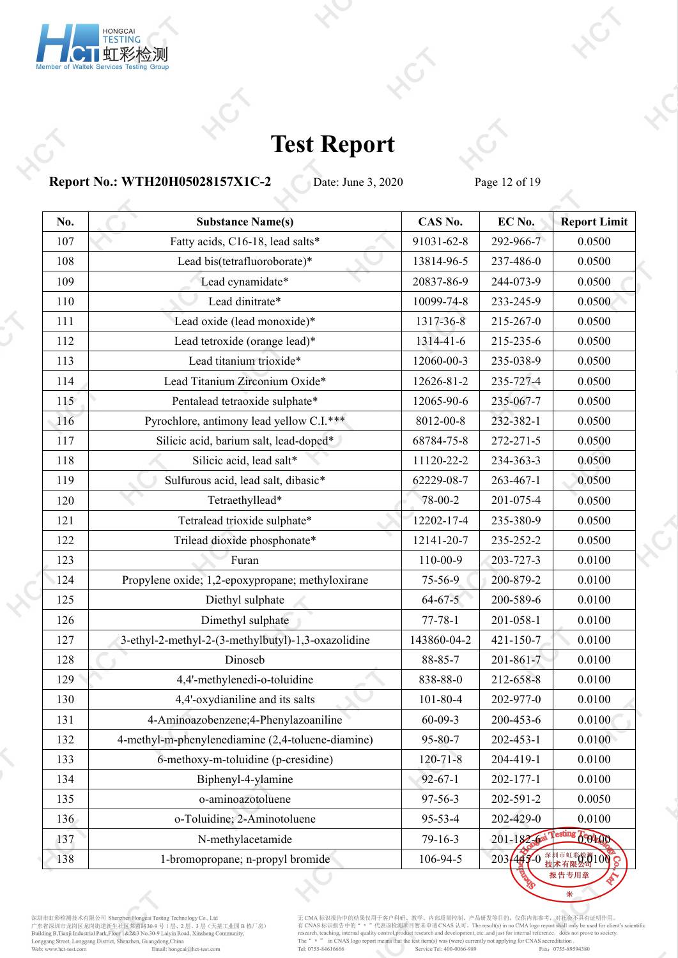

**Report No.: WTH20H05028157X1C-2** Date: June 3, 2020 Page 12 of 19

| No. | <b>Substance Name(s)</b>                           | CAS No.        | EC No.           | <b>Report Limit</b> |
|-----|----------------------------------------------------|----------------|------------------|---------------------|
| 107 | Fatty acids, C16-18, lead salts*                   | 91031-62-8     | 292-966-7        | 0.0500              |
| 108 | Lead bis(tetrafluoroborate)*                       | 13814-96-5     | 237-486-0        | 0.0500              |
| 109 | Lead cynamidate*                                   | 20837-86-9     | 244-073-9        | 0.0500              |
| 110 | Lead dinitrate*                                    | 10099-74-8     | 233-245-9        | 0.0500              |
| 111 | Lead oxide (lead monoxide)*                        | 1317-36-8      | 215-267-0        | 0.0500              |
| 112 | Lead tetroxide (orange lead)*                      | 1314-41-6      | 215-235-6        | 0.0500              |
| 113 | Lead titanium trioxide*                            | 12060-00-3     | 235-038-9        | 0.0500              |
| 114 | Lead Titanium Zirconium Oxide*                     | 12626-81-2     | 235-727-4        | 0.0500              |
| 115 | Pentalead tetraoxide sulphate*                     | 12065-90-6     | 235-067-7        | 0.0500              |
| 116 | Pyrochlore, antimony lead yellow C.I.***           | 8012-00-8      | 232-382-1        | 0.0500              |
| 117 | Silicic acid, barium salt, lead-doped*             | 68784-75-8     | 272-271-5        | 0.0500              |
| 118 | Silicic acid, lead salt*                           | 11120-22-2     | 234-363-3        | 0.0500              |
| 119 | Sulfurous acid, lead salt, dibasic*                | 62229-08-7     | 263-467-1        | 0.0500              |
| 120 | Tetraethyllead*                                    | 78-00-2        | 201-075-4        | 0.0500              |
| 121 | Tetralead trioxide sulphate*                       | 12202-17-4     | 235-380-9        | 0.0500              |
| 122 | Trilead dioxide phosphonate*                       | 12141-20-7     | 235-252-2        | 0.0500              |
| 123 | Furan                                              | 110-00-9       | 203-727-3        | 0.0100              |
| 124 | Propylene oxide; 1,2-epoxypropane; methyloxirane   | 75-56-9        | 200-879-2        | 0.0100              |
| 125 | Diethyl sulphate                                   | $64 - 67 - 5$  | 200-589-6        | 0.0100              |
| 126 | Dimethyl sulphate                                  | $77 - 78 - 1$  | 201-058-1        | 0.0100              |
| 127 | 3-ethyl-2-methyl-2-(3-methylbutyl)-1,3-oxazolidine | 143860-04-2    | $421 - 150 - 7$  | 0.0100              |
| 128 | Dinoseb                                            | 88-85-7        | $201 - 861 - 7$  | 0.0100              |
| 129 | 4,4'-methylenedi-o-toluidine                       | 838-88-0       | 212-658-8        | 0.0100              |
| 130 | 4,4'-oxydianiline and its salts                    | $101 - 80 - 4$ | 202-977-0        | 0.0100              |
| 131 | 4-Aminoazobenzene; 4-Phenylazoaniline              | $60 - 09 - 3$  | 200-453-6        | 0.0100              |
| 132 | 4-methyl-m-phenylenediamine (2,4-toluene-diamine)  | 95-80-7        | 202-453-1        | 0.0100              |
| 133 | 6-methoxy-m-toluidine (p-cresidine)                | $120 - 71 - 8$ | 204-419-1        | 0.0100              |
| 134 | Biphenyl-4-ylamine                                 | $92 - 67 - 1$  | 202-177-1        | 0.0100              |
| 135 | o-aminoazotoluene                                  | 97-56-3        | 202-591-2        | 0.0050              |
| 136 | o-Toluidine; 2-Aminotoluene                        | 95-53-4        | 202-429-0        | 0.0100              |
| 137 | N-methylacetamide                                  | 79-16-3        | $201 - 182 - 62$ | sting Gotton        |
| 138 | 1-bromopropane; n-propyl bromide                   | 106-94-5       | $203447 - 0$     | 数型100 8             |

深圳市虹彩检测技术有限公司 Shenzhen Hongcai Testing Technology Co., Ltd<br>广东省深圳市龙岗区龙岗街道新生社区莱茵路30-9 号 1 层、2 层、3 层(天基工业园 B 栋厂房)<br>Building B,Tianji Industrial Park,Floor 1&2&3 No.30-9 Laiyin Road, Xinsheng Community,<br>Longgang Street, Longga

无 CMA 标识报告中的结果仅用于客户科研、教学、内部质量控制、产品研发等目的,仅供内部参考,对社会不具有证明作用。<br>有 CNAS 标识报告中的" = "代表该检测项目暂未申请 CNAS 认可。The result(s) in no CMA logo report shall only be used for client's scientific<br>research, teaching, internal quality control

2o

 $\ast$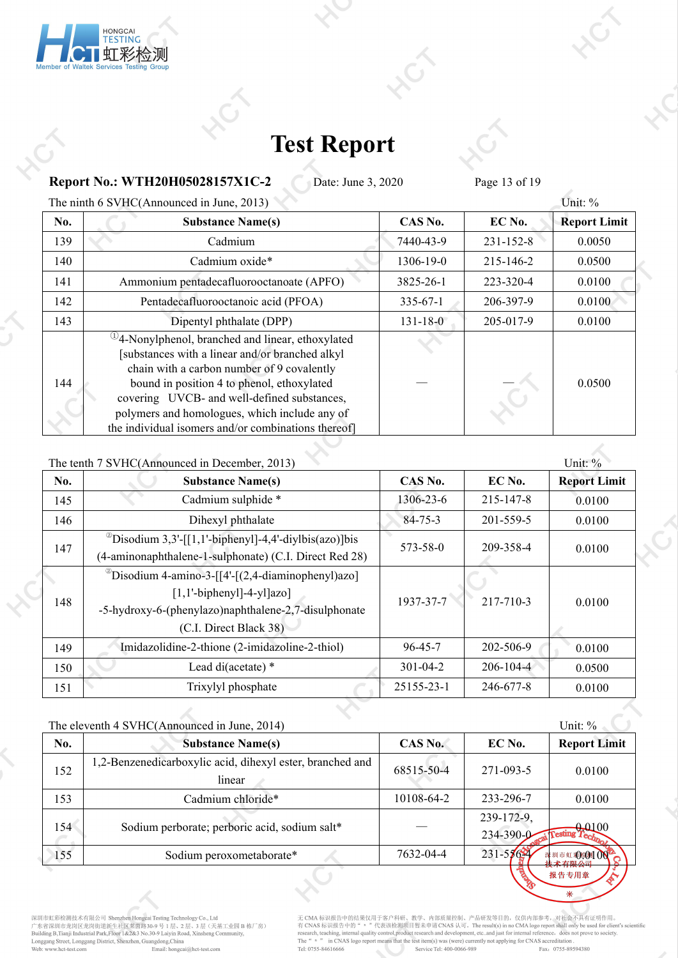

**Report No.: WTH20H05028157X1C-2** Date: June 3, 2020 Page 13 of 19

The ninth 6 SVHC(Announced in June, 2013) Unit: %

| No. | <b>Substance Name(s)</b>                                                                                                                                                                                                                                                                                                                                        | CAS No.   | EC No.          | <b>Report Limit</b> |
|-----|-----------------------------------------------------------------------------------------------------------------------------------------------------------------------------------------------------------------------------------------------------------------------------------------------------------------------------------------------------------------|-----------|-----------------|---------------------|
| 139 | Cadmium                                                                                                                                                                                                                                                                                                                                                         | 7440-43-9 | $231 - 152 - 8$ | 0.0050              |
| 140 | Cadmium oxide*                                                                                                                                                                                                                                                                                                                                                  | 1306-19-0 | 215-146-2       | 0.0500              |
| 141 | Ammonium pentadecafluorooctanoate (APFO)                                                                                                                                                                                                                                                                                                                        | 3825-26-1 | 223-320-4       | 0.0100              |
| 142 | Pentadecafluorooctanoic acid (PFOA)                                                                                                                                                                                                                                                                                                                             | 335-67-1  | 206-397-9       | 0.0100              |
| 143 | Dipentyl phthalate (DPP)                                                                                                                                                                                                                                                                                                                                        | 131-18-0  | 205-017-9       | 0.0100              |
| 144 | $^{(1)}$ 4-Nonylphenol, branched and linear, ethoxylated<br>[substances with a linear and/or branched alkyl]<br>chain with a carbon number of 9 covalently<br>bound in position 4 to phenol, ethoxylated<br>covering UVCB- and well-defined substances,<br>polymers and homologues, which include any of<br>the individual isomers and/or combinations thereof] |           |                 | 0.0500              |

The tenth 7 SVHC(Announced in December, 2013) Unit: %

| No. | <b>Substance Name(s)</b>                                                                                                                                                     | CAS No.        | EC No.          | <b>Report Limit</b> |  |
|-----|------------------------------------------------------------------------------------------------------------------------------------------------------------------------------|----------------|-----------------|---------------------|--|
| 145 | Cadmium sulphide *                                                                                                                                                           | 1306-23-6      | 215-147-8       | 0.0100              |  |
| 146 | Dihexyl phthalate                                                                                                                                                            | $84 - 75 - 3$  | 201-559-5       | 0.0100              |  |
| 147 | <sup>2</sup> Disodium 3,3'-[[1,1'-biphenyl]-4,4'-diylbis(azo)]bis<br>(4-aminonaphthalene-1-sulphonate) (C.I. Direct Red 28)                                                  | 573-58-0       | 209-358-4       | 0.0100              |  |
| 148 | $^{\circ}$ Disodium 4-amino-3-[[4'-[(2,4-diaminophenyl)azo]<br>$[1,1'-bipheny1]-4-y1]azo]$<br>-5-hydroxy-6-(phenylazo)naphthalene-2,7-disulphonate<br>(C.I. Direct Black 38) | 1937-37-7      | 217-710-3       | 0.0100              |  |
| 149 | Imidazolidine-2-thione (2-imidazoline-2-thiol)                                                                                                                               | $96 - 45 - 7$  | 202-506-9       | 0.0100              |  |
| 150 | Lead di(acetate) *                                                                                                                                                           | $301 - 04 - 2$ | $206 - 104 - 4$ | 0.0500              |  |
| 151 | Trixylyl phosphate                                                                                                                                                           | 25155-23-1     | 246-677-8       | 0.0100              |  |

|     | The eleventh 4 SVHC(Announced in June, 2014)                        |            |                               | Unit: %              |  |
|-----|---------------------------------------------------------------------|------------|-------------------------------|----------------------|--|
| No. | <b>Substance Name(s)</b>                                            | CAS No.    | EC No.                        | <b>Report Limit</b>  |  |
| 152 | 1,2-Benzenedicarboxylic acid, dihexyl ester, branched and<br>linear | 68515-50-4 | $271 - 093 - 5$               | 0.0100               |  |
| 153 | Cadmium chloride*                                                   | 10108-64-2 | 233-296-7                     | 0.0100               |  |
| 154 | Sodium perborate; perboric acid, sodium salt*                       |            | 239-172-9.<br>$234 - 390 - 0$ | <b>PAL00</b>         |  |
| 155 | Sodium peroxometaborate*                                            | 7632-04-4  | $231 - 57621$                 | * 圳市虹彩图100<br>技术有限公司 |  |
|     |                                                                     |            |                               | 据生去田音                |  |

深圳市虹彩检测技术有限公司 Shenzhen Hongcai Testing Technology Co., Ltd<br>广东省深圳市龙岗区龙岗街道新生社区莱茵路30-9 号 1 层、2 层、3 层(天基工业园 B 栋厂房)<br>Building B,Tianji Industrial Park,Floor 1&2&3 No.30-9 Laiyin Road, Xinsheng Community,<br>Longgang Street, Longga

无 CMA 标识报告中的结果仅用于客户科研、教学、内部质量控制、产品研发等目的,仅供内部参考,对社会不具有证明作用。<br>有 CNAS 标识报告中的" = "代表该检测项目暂未申请 CNAS 认可。The result(s) in no CMA logo report shall only be used for client's scientific<br>research, teaching, internal quality control

 $\overline{\mathbf{r}}$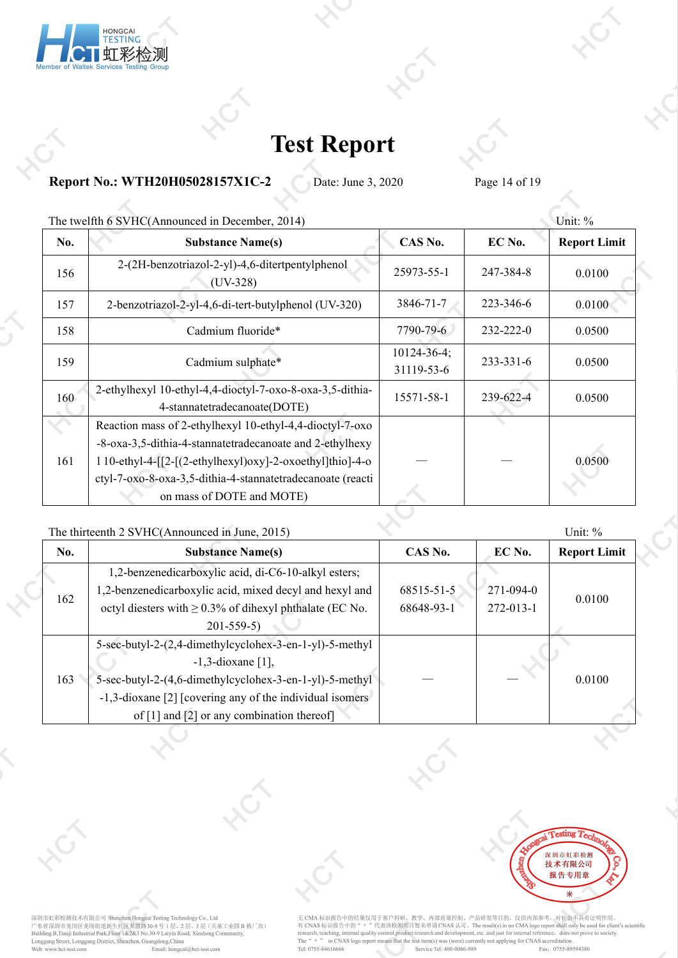

**Report No.: WTH20H05028157X1C-2** Date: June 3, 2020 Page 14 of 19

|     | The twelfth 6 SVHC(Announced in December, 2014)                                                                                                                                     |                                  |           | Unit: $%$           |
|-----|-------------------------------------------------------------------------------------------------------------------------------------------------------------------------------------|----------------------------------|-----------|---------------------|
| No. | <b>Substance Name(s)</b>                                                                                                                                                            | CAS No.                          | EC No.    | <b>Report Limit</b> |
| 156 | 2-(2H-benzotriazol-2-yl)-4,6-ditertpentylphenol<br>$(UV-328)$                                                                                                                       | 25973-55-1                       | 247-384-8 | 0.0100              |
| 157 | 2-benzotriazol-2-yl-4,6-di-tert-butylphenol (UV-320)                                                                                                                                | 3846-71-7                        | 223-346-6 | 0.0100              |
| 158 | Cadmium fluoride*                                                                                                                                                                   | 7790-79-6                        | 232-222-0 | 0.0500              |
| 159 | Cadmium sulphate*                                                                                                                                                                   | $10124 - 36 - 4$ ;<br>31119-53-6 | 233-331-6 | 0.0500              |
| 160 | 2-ethylhexyl 10-ethyl-4,4-dioctyl-7-oxo-8-oxa-3,5-dithia-<br>4-stannatetradecanoate(DOTE)                                                                                           | 15571-58-1                       | 239-622-4 | 0.0500              |
|     | Reaction mass of 2-ethylhexyl 10-ethyl-4,4-dioctyl-7-oxo                                                                                                                            |                                  |           |                     |
| 161 | -8-oxa-3,5-dithia-4-stannatetradecanoate and 2-ethylhexy<br>$110-ethyl-4-[[2-[2-ethylhexyl)oxy]-2-oxoethyl]thio]-4-o$<br>ctyl-7-oxo-8-oxa-3,5-dithia-4-stannatetradecanoate (reacti |                                  |           | 0.0500              |
|     | on mass of DOTE and MOTE)                                                                                                                                                           |                                  |           |                     |
|     |                                                                                                                                                                                     |                                  |           |                     |

### The [thirteenth](javascript:void(0);) 2 SVHC(Announced in June, 2015) Unit: %

| No. | <b>Substance Name(s)</b>                                              | CAS No.    | EC No.    | <b>Report Limit</b> |
|-----|-----------------------------------------------------------------------|------------|-----------|---------------------|
|     | 1,2-benzenedicarboxylic acid, di-C6-10-alkyl esters;                  |            |           |                     |
| 162 | 1,2-benzenedicarboxylic acid, mixed decyl and hexyl and               | 68515-51-5 | 271-094-0 |                     |
|     | octyl diesters with $\geq 0.3\%$ of dihexyl phthalate (EC No.         | 68648-93-1 | 272-013-1 | 0.0100              |
|     | $201 - 559 - 5$                                                       |            |           |                     |
|     | 5-sec-butyl-2-(2,4-dimethylcyclohex-3-en-1-yl)-5-methyl               |            |           |                     |
|     | $-1,3$ -dioxane [1],                                                  |            |           |                     |
| 163 | 5-sec-butyl-2-(4,6-dimethylcyclohex-3-en-1-yl)-5-methyl               |            |           | 0.0100              |
|     | -1,3-dioxane [2] [covering any of the individual isomers]             |            |           |                     |
|     | of $\lceil 1 \rceil$ and $\lceil 2 \rceil$ or any combination thereof |            |           |                     |



深圳市虹彩检测技术有限公司 Shenzhen Hongcai Testing Technology Co., Ltd<br>广东省深圳市龙岗区龙岗街道新生社区莱茵路30-9 号 1 层、2 层、3 层(天基工业园 B 栋厂房)<br>Building B,Tianji Industrial Park,Floor 1&2&3 No.30-9 Laiyin Road, Xinsheng Community,<br>Longgang Street, Longga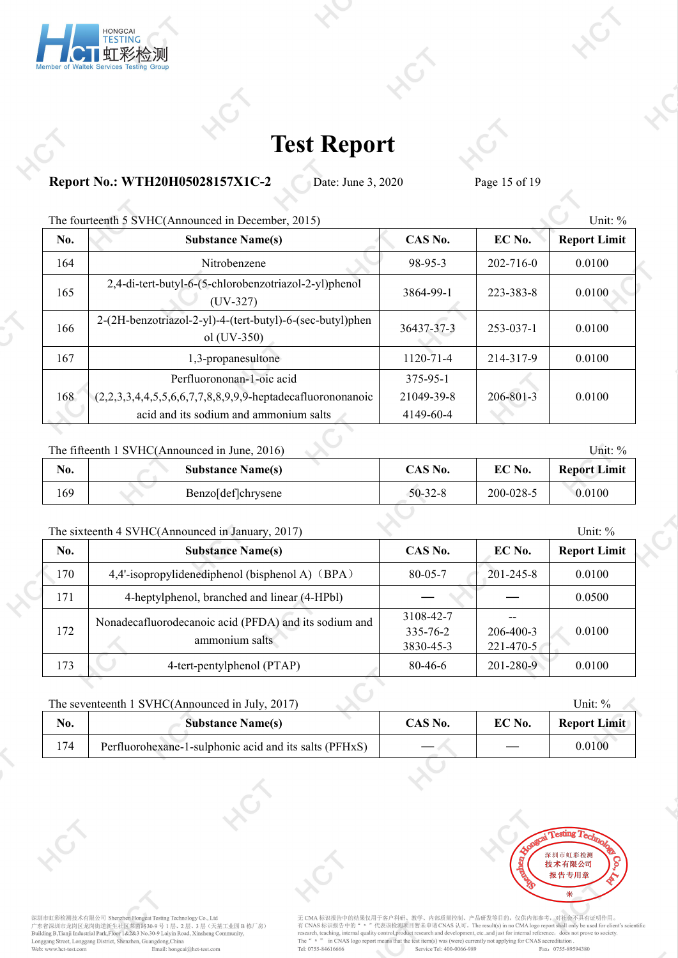

### **Report No.: WTH20H05028157X1C-2** Date: June 3, 2020 Page 15 of 19

| No. | <b>Substance Name(s)</b>                                                 | CAS No.         | EC No.          | <b>Report Limit</b> |
|-----|--------------------------------------------------------------------------|-----------------|-----------------|---------------------|
| 164 | Nitrobenzene                                                             | 98-95-3         | $202 - 716 - 0$ | 0.0100              |
| 165 | 2,4-di-tert-butyl-6-(5-chlorobenzotriazol-2-yl)phenol<br>$(UV-327)$      | 3864-99-1       | 223-383-8       | 0.0100              |
| 166 | 2-(2H-benzotriazol-2-yl)-4-(tert-butyl)-6-(sec-butyl)phen<br>ol (UV-350) | 36437-37-3      | 253-037-1       | 0.0100              |
| 167 | 1,3-propanesultone                                                       | $1120 - 71 - 4$ | 214-317-9       | 0.0100              |
|     | Perfluorononan-1-oic acid                                                | 375-95-1        |                 |                     |
| 168 | $(2,2,3,3,4,4,5,5,6,6,7,7,8,8,9,9,9)$ -heptadecafluorononanoic           | 21049-39-8      | 206-801-3       | 0.0100              |
|     | acid and its sodium and ammonium salts                                   | 4149-60-4       |                 |                     |

#### The fifteenth 1 SVHC(Announced in June, 2016) Unit: % Unit: %

| No. | <b>Substance Name(s)</b> | CAS No.   | EC No.    | <b>Report Limit</b> |
|-----|--------------------------|-----------|-----------|---------------------|
| 169 | Benzo[def]chrysene       | $50-32-8$ | 200-028-5 | 0.0100              |

### The sixteenth 4 SVHC(Announced in January, 2017) Unit: % Unit: %

| <b>Substance Name(s)</b><br>EC No.<br>CAS No.<br>No.<br>170<br>4,4'-isopropylidenediphenol (bisphenol A) (BPA)<br>0.0100<br>$201 - 245 - 8$<br>$80 - 05 - 7$<br>171<br>4-heptylphenol, branched and linear (4-HPbl)<br>0.0500<br>3108-42-7<br>Nonadecafluorodecanoic acid (PFDA) and its sodium and<br>172<br>0.0100<br>335-76-2<br>$206 - 400 - 3$<br>ammonium salts<br>$221 - 470 - 5$<br>3830-45-3<br>173<br>4-tert-pentylphenol (PTAP)<br>0.0100<br>201-280-9<br>80-46-6 | The state entries to $\ell$ if $\ell$ and $\ell$ and $\ell$ and $\ell$ and $\ell$ and $\ell$ and $\ell$ and $\ell$ and $\ell$ and $\ell$ and $\ell$ and $\ell$ and $\ell$ and $\ell$ and $\ell$ and $\ell$ and $\ell$ and $\ell$ and $\ell$ and $\ell$ and $\ell$ and $\ell$ |  | $\cup$ iii. $\vee$  |
|------------------------------------------------------------------------------------------------------------------------------------------------------------------------------------------------------------------------------------------------------------------------------------------------------------------------------------------------------------------------------------------------------------------------------------------------------------------------------|------------------------------------------------------------------------------------------------------------------------------------------------------------------------------------------------------------------------------------------------------------------------------|--|---------------------|
|                                                                                                                                                                                                                                                                                                                                                                                                                                                                              |                                                                                                                                                                                                                                                                              |  | <b>Report Limit</b> |
|                                                                                                                                                                                                                                                                                                                                                                                                                                                                              |                                                                                                                                                                                                                                                                              |  |                     |
|                                                                                                                                                                                                                                                                                                                                                                                                                                                                              |                                                                                                                                                                                                                                                                              |  |                     |
|                                                                                                                                                                                                                                                                                                                                                                                                                                                                              |                                                                                                                                                                                                                                                                              |  |                     |
|                                                                                                                                                                                                                                                                                                                                                                                                                                                                              |                                                                                                                                                                                                                                                                              |  |                     |

### The seventeenth 1 SVHC(Announced in July, 2017) Unit: %

| EC No.<br>No.<br>CAS No.<br><b>Substance Name(s)</b><br>174<br>0.0100<br>Perfluorohexane-1-sulphonic acid and its salts (PFHxS) |  |  |                     |
|---------------------------------------------------------------------------------------------------------------------------------|--|--|---------------------|
|                                                                                                                                 |  |  | <b>Report Limit</b> |
|                                                                                                                                 |  |  |                     |



深圳市虹彩检测技术有限公司 Shenzhen Hongeai Testing Technology Co., Ltd<br>广东省深圳市龙岗区龙岗街道新生社区菜商路30-9 号 1 层、2 层、3 层(天基工业园 B 栋厂房)<br>Building B,Tianji Industrial Park,Floor 1&2&3 No.30-9 Laiyin Road, Xinsheng Community,<br>Longgang Street, Longg

无 CMA 标识报告中的结果仅用于客户科研、教学、内部质量控制、产品研发等目的,仅供内部参考,对社会不具有证明作用。<br>有 CNAS 标识报告中的" = "代表该检测项目暂未申请 CNAS 认可。The result(s) in no CMA logo report shall only be used for client's scientific<br>research, teaching, internal quality control, The "n "n CNAS logo report means that the test item(s) was (were) currently not applying for CNAS accreditation Tel: 0755-84616666 Service Tel: 400-0066-989 Fax: 0755-895 Fax: 0755-89594380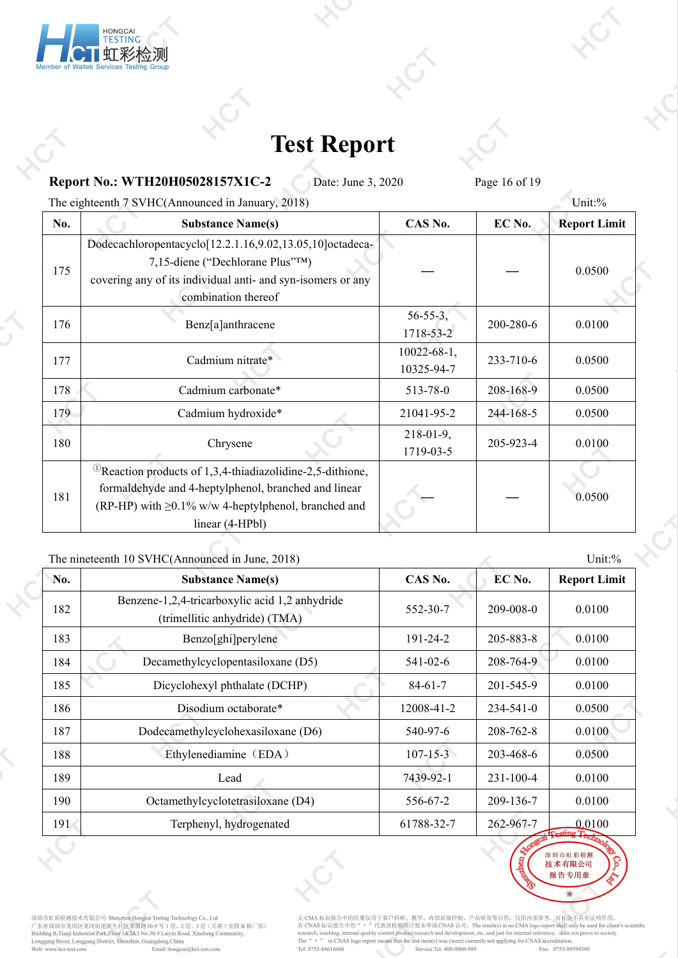

**Report No.: WTH20H05028157X1C-2** Date: June 3, 2020 Page 16 of 19

The eighteenth 7 SVHC(Announced in January, 2018) Unit:%

| No. | <b>Substance Name(s)</b>                                                                                                                                                                                         | CAS No.                          | EC No.    | <b>Report Limit</b> |
|-----|------------------------------------------------------------------------------------------------------------------------------------------------------------------------------------------------------------------|----------------------------------|-----------|---------------------|
| 175 | Dodecachloropentacyclo <sup>[12.2.1.16,9.02,13.05,10]</sup> octadeca-<br>7,15-diene ("Dechlorane Plus"TM)<br>covering any of its individual anti- and syn-isomers or any<br>combination thereof                  |                                  |           | 0.0500              |
| 176 | Benz[a]anthracene                                                                                                                                                                                                | $56 - 55 - 3$ ,<br>1718-53-2     | 200-280-6 | 0.0100              |
| 177 | Cadmium nitrate*                                                                                                                                                                                                 | $10022 - 68 - 1$ ,<br>10325-94-7 | 233-710-6 | 0.0500              |
| 178 | Cadmium carbonate*                                                                                                                                                                                               | 513-78-0                         | 208-168-9 | 0.0500              |
| 179 | Cadmium hydroxide*                                                                                                                                                                                               | 21041-95-2                       | 244-168-5 | 0.0500              |
| 180 | Chrysene                                                                                                                                                                                                         | $218-01-9$ ,<br>1719-03-5        | 205-923-4 | 0.0100              |
| 181 | <sup>(1)</sup> Reaction products of 1,3,4-thiadiazolidine-2,5-dithione,<br>formaldehyde and 4-heptylphenol, branched and linear<br>(RP-HP) with $\geq 0.1\%$ w/w 4-heptylphenol, branched and<br>linear (4-HPbl) |                                  |           | 0.0500              |

The nineteenth 10 SVHC(Announced in June, 2018) Unit:%

| No. | <b>Substance Name(s)</b>                                                        | CAS No.        | EC No.          | <b>Report Limit</b>  |
|-----|---------------------------------------------------------------------------------|----------------|-----------------|----------------------|
| 182 | Benzene-1,2,4-tricarboxylic acid 1,2 anhydride<br>(trimellitic anhydride) (TMA) | 552-30-7       | $209 - 008 - 0$ | 0.0100               |
| 183 | Benzo[ghi]perylene                                                              | 191-24-2       | 205-883-8       | 0.0100               |
| 184 | Decamethylcyclopentasiloxane (D5)                                               | 541-02-6       | 208-764-9       | 0.0100               |
| 185 | Dicyclohexyl phthalate (DCHP)                                                   | $84-61-7$      | 201-545-9       | 0.0100               |
| 186 | Disodium octaborate*                                                            | 12008-41-2     | $234 - 541 - 0$ | 0.0500               |
| 187 | Dodecamethylcyclohexasiloxane (D6)                                              | 540-97-6       | 208-762-8       | 0.0100               |
| 188 | Ethylenediamine (EDA)                                                           | $107 - 15 - 3$ | 203-468-6       | 0.0500               |
| 189 | Lead                                                                            | 7439-92-1      | $231 - 100 - 4$ | 0.0100               |
| 190 | Octamethylcyclotetrasiloxane (D4)                                               | 556-67-2       | 209-136-7       | 0.0100               |
| 191 | Terphenyl, hydrogenated                                                         | 61788-32-7     | 262-967-7       | 0.0100<br>Testing T. |



深圳市虹彩检测技术有限公司 Shenzhen Hongcai Testing Technology Co., Ltd<br>广东省深圳市龙岗区龙岗街道新生社区莱茵路30-9 号 1 层、2 层、3 层(天基工业园 B 栋厂房)<br>Building B,Tianji Industrial Park,Floor 1&2&3 No.30-9 Laiyin Road, Xinsheng Community,<br>Longgang Street, Longga

无 CMA 标识报告中的结果仅用于客户科研、教学、内部质量控制、产品研发等目的,仅供内部参考,对社会不具有证明作用。<br>有 CNAS 标识报告中的" = "代表该检测项目暂未申请 CNAS 认可。The result(s) in no CMA logo report shall only be used for client's scientific<br>research, teaching, internal quality control

深圳市虹彩检测 技术有限公司 报告专用章 来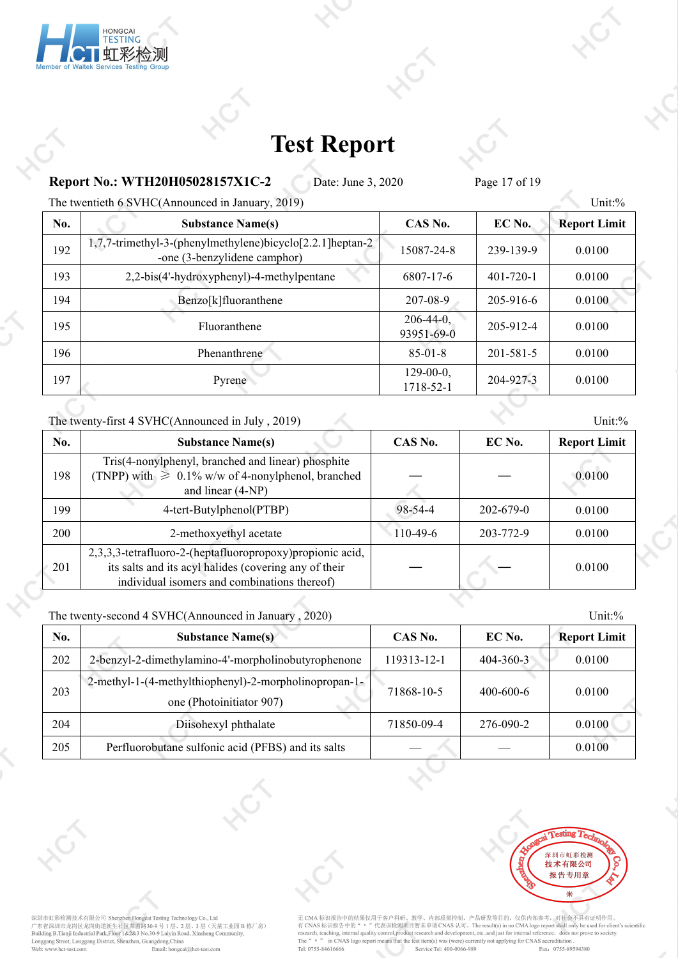

**Report No.: WTH20H05028157X1C-2** Date: June 3, 2020 Page 17 of 19

The twentieth 6 SVHC(Announced in January, 2019) Unit:%

| No. | <b>Substance Name(s)</b>                                                                   | CAS No.                    | EC No.          | <b>Report Limit</b> |
|-----|--------------------------------------------------------------------------------------------|----------------------------|-----------------|---------------------|
| 192 | 1,7,7-trimethyl-3-(phenylmethylene)bicyclo[2.2.1] heptan-2<br>-one (3-benzylidene camphor) | 15087-24-8                 | 239-139-9       | 0.0100              |
| 193 | 2,2-bis(4'-hydroxyphenyl)-4-methylpentane                                                  | 6807-17-6                  | $401 - 720 - 1$ | 0.0100              |
| 194 | Benzo[k]fluoranthene                                                                       | 207-08-9                   | 205-916-6       | 0.0100              |
| 195 | Fluoranthene                                                                               | $206-44-0$ ,<br>93951-69-0 | 205-912-4       | 0.0100              |
| 196 | Phenanthrene                                                                               | $85 - 01 - 8$              | 201-581-5       | 0.0100              |
| 197 | Pyrene                                                                                     | $129-00-0$ ,<br>1718-52-1  | 204-927-3       | 0.0100              |

The twenty-first 4 SVHC(Announced in July , 2019) Unit:%

| No. | <b>Substance Name(s)</b>                                                                                                                                            | CAS No.    | EC No.          | <b>Report Limit</b> |
|-----|---------------------------------------------------------------------------------------------------------------------------------------------------------------------|------------|-----------------|---------------------|
| 198 | Tris(4-nonylphenyl, branched and linear) phosphite<br>(TNPP) with $\geq 0.1\%$ w/w of 4-nonylphenol, branched<br>and linear (4-NP)                                  |            |                 | 0.0100              |
| 199 | 4-tert-Butylphenol(PTBP)                                                                                                                                            | 98-54-4    | $202 - 679 - 0$ | 0.0100              |
| 200 | 2-methoxyethyl acetate                                                                                                                                              | $110-49-6$ | 203-772-9       | 0.0100              |
| 201 | 2,3,3,3-tetrafluoro-2-(heptafluoropropoxy) propionic acid,<br>its salts and its acyl halides (covering any of their<br>individual isomers and combinations thereof) |            |                 | 0.0100              |

The twenty-second 4 SVHC(Announced in January , 2020) Unit: % Unit: %

| No. | <b>Substance Name(s)</b>                                                          | CAS No.     | EC No.          | <b>Report Limit</b> |
|-----|-----------------------------------------------------------------------------------|-------------|-----------------|---------------------|
| 202 | 2-benzyl-2-dimethylamino-4'-morpholinobutyrophenone                               | 119313-12-1 | $404 - 360 - 3$ | 0.0100              |
| 203 | 2-methyl-1-(4-methylthiophenyl)-2-morpholinopropan-1-<br>one (Photoinitiator 907) | 71868-10-5  | $400 - 600 - 6$ | 0.0100              |
| 204 | Diisohexyl phthalate                                                              | 71850-09-4  | 276-090-2       | 0.0100              |
| 205 | Perfluorobutane sulfonic acid (PFBS) and its salts                                |             |                 | 0.0100              |
|     |                                                                                   |             |                 |                     |



深圳市虹彩检测技术有限公司 Shenzhen Hongeai Testing Technology Co., Ltd<br>广东省深圳市龙岗区龙岗街道新生社区菜商路30-9 号 1 层、2 层、3 层(天基工业园 B 栋厂房)<br>Building B,Tianji Industrial Park,Floor 1&2&3 No.30-9 Laiyin Road, Xinsheng Community,<br>Longgang Street, Longg

无 CMA 标识报告中的结果仅用于客户科研、教学、内部质量控制、产品研发等目的,仅供内部参考,对社会不具有证明作用。<br>有 CNAS 标识报告中的" = "代表该检测项目暂未申请 CNAS 认可。The result(s) in no CMA logo report shall only be used for client's scientific<br>research, teaching, internal quality control, The "n "n CNAS logo report means that the test item(s) was (were) currently not applying for CNAS accreditation Tel: 0755-84616666 Service Tel: 400-0066-989 Fax: 0755-895 Fax: 0755-89594380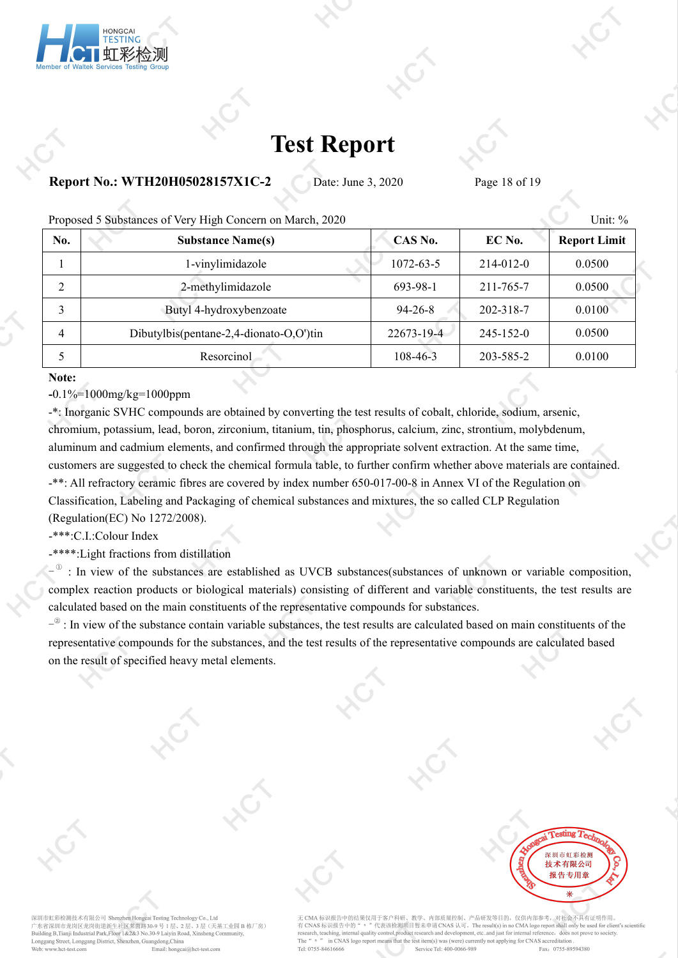

### **Report No.: WTH20H05028157X1C-2** Date: June 3, 2020 Page 18 of 19

|     | Proposed 5 Substances of Very High Concern on March, 2020 |               |                 | Unit: $%$           |
|-----|-----------------------------------------------------------|---------------|-----------------|---------------------|
| No. | <b>Substance Name(s)</b>                                  | CAS No.       | EC No.          | <b>Report Limit</b> |
|     | 1-vinylimidazole                                          | 1072-63-5     | $214 - 012 - 0$ | 0.0500              |
|     | 2-methylimidazole                                         | 693-98-1      | 211-765-7       | 0.0500              |
|     | Butyl 4-hydroxybenzoate                                   | $94 - 26 - 8$ | 202-318-7       | 0.0100              |
| 4   | Dibutylbis(pentane-2,4-dionato-O,O')tin                   | 22673-19-4    | $245 - 152 - 0$ | 0.0500              |
|     | Resorcinol                                                | 108-46-3      | 203-585-2       | 0.0100              |
|     |                                                           |               |                 |                     |

#### **Note:**

**-**0.1%=1000mg/kg=1000ppm

-\*: Inorganic SVHC compounds are obtained by converting the test results of cobalt, chloride, sodium, arsenic, chromium, potassium, lead, boron, zirconium, titanium, tin, phosphorus, calcium, zinc, strontium, molybdenum, aluminum and cadmium elements, and confirmed through the appropriate solvent extraction. At the same time, customers are suggested to check the chemical formula table, to further confirm whether above materials are contained. -\*\*: All refractory ceramic fibres are covered by index number 650-017-00-8 in Annex VI of the Regulation on Classification, Labeling and Packaging of chemical substances and mixtures, the so called CLP Regulation (Regulation(EC) No 1272/2008).

-\*\*\*:C.I.:Colour Index

-\*\*\*\*:Light fractions from distillation

 $-$ <sup> $\circ$ </sup> : In view of the substances are established as UVCB substances(substances of unknown or variable composition, complex reaction products or biological materials) consisting of different and variable constituents, the test results are calculated based on the main constituents of the representative compounds for substances.

 $-$ <sup> $\circ$ </sup>: In view of the substance contain variable substances, the test results are calculated based on main constituents of the representative compounds for the substances, and the test results of the representative compounds are calculated based on the result of specified heavy metal elements.



深圳市虹彩检测技术有限公司 Shenzhen Hongcai Testing Technology Co., Ltd er Seam 市龙岗区龙岗街道新生社区莱茵路30-9号1层、2层、3层(天基工业园 B<br>Building B,Tianji Industrial Park,Floor 1&2&3 No.30-9 Lills、2层、3层(天基工业园 B 。<br>3 层(天基工业园 B 栋厂房) Longgang Street, Longgang District, Shenzhen, Guangdong, China Web: www.hct-test.com Email: hongcai@hct-test.com

无 CMA 标识报告中的结果仅用于客户科研、教学、内部质量控制、产品研发等目的, 仅供内部参考, 对社会不具有证明作用. 有 CNAS 标识报告中的 " n " 代表该检测项目暂未申请 CNAS 认可。The result(s) in no CMA logo report shall only be used for cliented and the context of the research, teaching, internal quality control,product research and development, etc..and ju ed for client's scient The " in CNAS logo report means that the test item(s) was (were) currently not applying for CNAS accreditation Fax: 0755-89594380 Tel: 0755-84616666 Service Tel: 400-0066-989